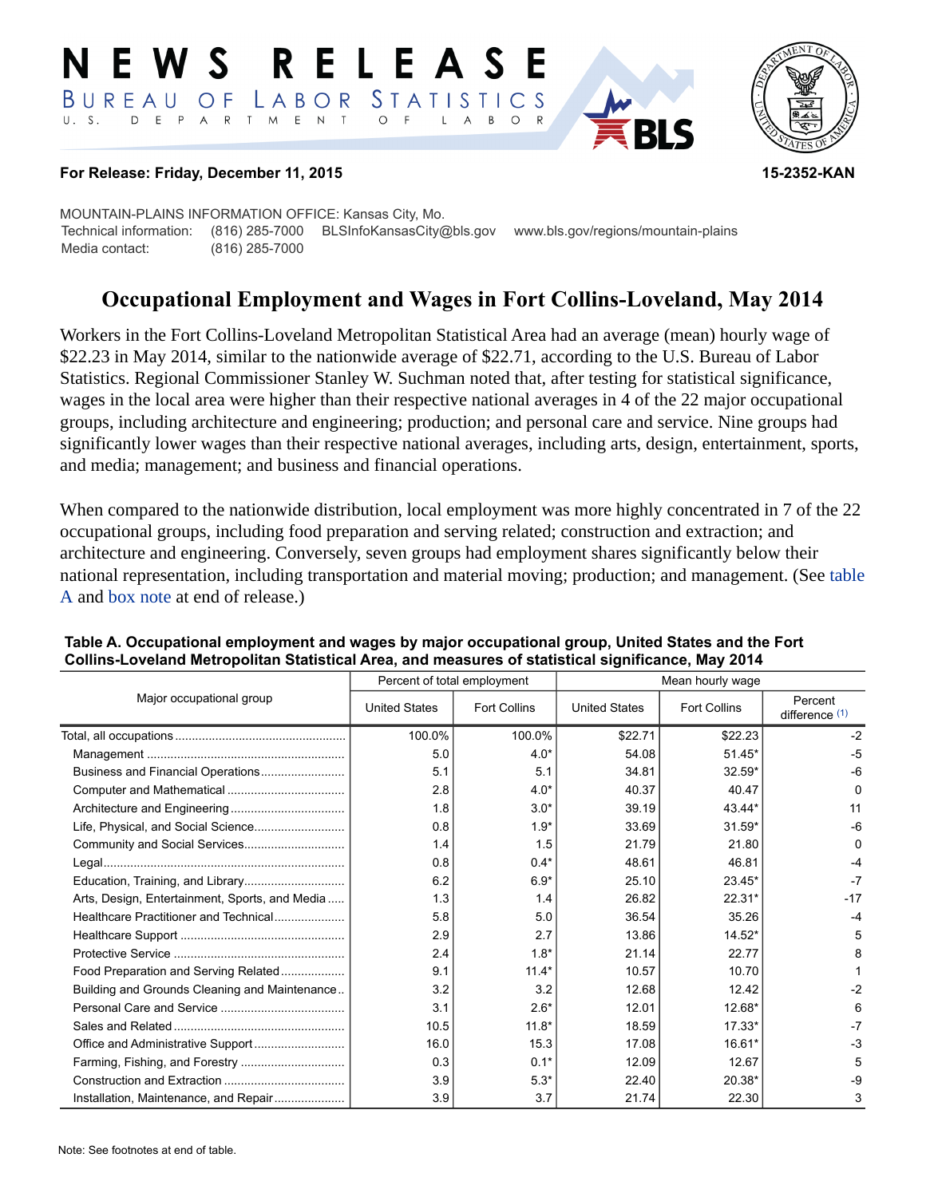#### RELEAS E W S LABOR STATISTICS  $B$  U R E A U O F D E P A R T M E N T  $\circ$  $U. S.$ B  $\circ$  $\mathsf{L}$  $\overline{A}$



### **For Release: Friday, December 11, 2015 15-2352-KAN**

MOUNTAIN-PLAINS INFORMATION OFFICE: Kansas City, Mo. Technical information: (816) 285-7000 BLSInfoKansasCity@bls.gov www.bls.gov/regions/mountain-plains Media contact: (816) 285-7000

# **Occupational Employment and Wages in Fort Collins-Loveland, May 2014**

Workers in the Fort Collins-Loveland Metropolitan Statistical Area had an average (mean) hourly wage of \$22.23 in May 2014, similar to the nationwide average of \$22.71, according to the U.S. Bureau of Labor Statistics. Regional Commissioner Stanley W. Suchman noted that, after testing for statistical significance, wages in the local area were higher than their respective national averages in 4 of the 22 major occupational groups, including architecture and engineering; production; and personal care and service. Nine groups had significantly lower wages than their respective national averages, including arts, design, entertainment, sports, and media; management; and business and financial operations.

When compared to the nationwide distribution, local employment was more highly concentrated in 7 of the 22 occupational groups, including food preparation and serving related; construction and extraction; and architecture and engineering. Conversely, seven groups had employment shares significantly below their national representation, including transportation and material moving; production; and management. (See table A and [box note](#page-2-0) at end of release.)

|                                                |                      | Percent of total employment | Mean hourly wage     |                     |                             |  |
|------------------------------------------------|----------------------|-----------------------------|----------------------|---------------------|-----------------------------|--|
| Major occupational group                       | <b>United States</b> | <b>Fort Collins</b>         | <b>United States</b> | <b>Fort Collins</b> | Percent<br>difference $(1)$ |  |
|                                                | 100.0%               | 100.0%                      | \$22.71              | \$22.23             | $-2$                        |  |
|                                                | 5.0                  | $4.0*$                      | 54.08                | $51.45*$            | $-5$                        |  |
|                                                | 5.1                  | 5.1                         | 34.81                | 32.59*              | $-6$                        |  |
|                                                | 2.8                  | $4.0*$                      | 40.37                | 40.47               | $\Omega$                    |  |
|                                                | 1.8                  | $3.0*$                      | 39.19                | 43.44*              | 11                          |  |
|                                                | 0.8                  | $1.9*$                      | 33.69                | 31.59*              | $-6$                        |  |
|                                                | 1.4                  | 1.5                         | 21.79                | 21.80               | $\Omega$                    |  |
|                                                | 0.8                  | $0.4*$                      | 48.61                | 46.81               | -4                          |  |
|                                                | 6.2                  | $6.9*$                      | 25.10                | $23.45*$            | $-7$                        |  |
| Arts, Design, Entertainment, Sports, and Media | 1.3                  | 1.4                         | 26.82                | $22.31*$            | $-17$                       |  |
| Healthcare Practitioner and Technical          | 5.8                  | 5.0                         | 36.54                | 35.26               |                             |  |
|                                                | 2.9                  | 2.7                         | 13.86                | 14.52*              | 5                           |  |
|                                                | 2.4                  | $1.8*$                      | 21.14                | 22.77               | 8                           |  |
| Food Preparation and Serving Related           | 9.1                  | $11.4*$                     | 10.57                | 10.70               |                             |  |
| Building and Grounds Cleaning and Maintenance  | 3.2                  | 3.2                         | 12.68                | 12.42               | $-2$                        |  |
|                                                | 3.1                  | $2.6*$                      | 12.01                | 12.68*              | 6                           |  |
|                                                | 10.5                 | $11.8*$                     | 18.59                | $17.33*$            | $-7$                        |  |
|                                                | 16.0                 | 15.3                        | 17.08                | 16.61*              | $-3$                        |  |
|                                                | 0.3                  | $0.1*$                      | 12.09                | 12.67               | 5                           |  |
|                                                | 3.9                  | $5.3*$                      | 22.40                | 20.38*              | -9                          |  |
| Installation, Maintenance, and Repair          | 3.9                  | 3.7                         | 21.74                | 22.30               | 3                           |  |

### **Table A. Occupational employment and wages by major occupational group, United States and the Fort Collins-Loveland Metropolitan Statistical Area, and measures of statistical significance, May 2014**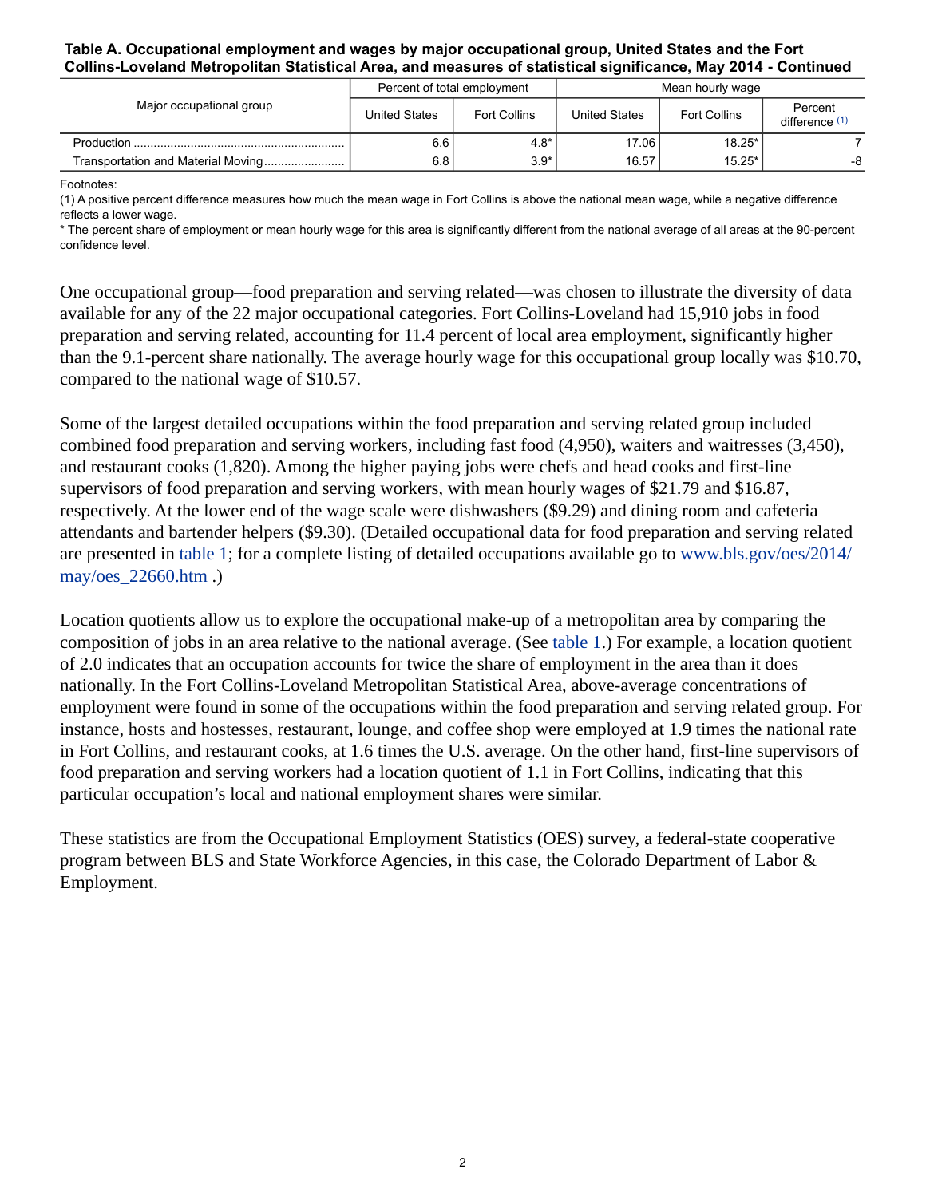#### **Table A. Occupational employment and wages by major occupational group, United States and the Fort Collins-Loveland Metropolitan Statistical Area, and measures of statistical significance, May 2014 - Continued**

| Major occupational group | Percent of total employment |                     | Mean hourly wage     |                     |                           |  |
|--------------------------|-----------------------------|---------------------|----------------------|---------------------|---------------------------|--|
|                          | <b>United States</b>        | <b>Fort Collins</b> | <b>United States</b> | <b>Fort Collins</b> | Percent<br>difference (1) |  |
|                          | 6.6                         | $4.8*$              | 17.06                | $18.25*$            |                           |  |
|                          | 6.8 l                       | $3.9*$              | 16.57                | $15.25*$            | -8                        |  |

Footnotes:

<span id="page-1-0"></span>(1) A positive percent difference measures how much the mean wage in Fort Collins is above the national mean wage, while a negative difference reflects a lower wage.

\* The percent share of employment or mean hourly wage for this area is significantly different from the national average of all areas at the 90-percent confidence level.

One occupational group—food preparation and serving related—was chosen to illustrate the diversity of data available for any of the 22 major occupational categories. Fort Collins-Loveland had 15,910 jobs in food preparation and serving related, accounting for 11.4 percent of local area employment, significantly higher than the 9.1-percent share nationally. The average hourly wage for this occupational group locally was \$10.70, compared to the national wage of \$10.57.

Some of the largest detailed occupations within the food preparation and serving related group included combined food preparation and serving workers, including fast food (4,950), waiters and waitresses (3,450), and restaurant cooks (1,820). Among the higher paying jobs were chefs and head cooks and first-line supervisors of food preparation and serving workers, with mean hourly wages of \$21.79 and \$16.87, respectively. At the lower end of the wage scale were dishwashers (\$9.29) and dining room and cafeteria attendants and bartender helpers (\$9.30). (Detailed occupational data for food preparation and serving related are presented in table 1; for a complete listing of detailed occupations available go to [www.bls.gov/oes/2014/](https://www.bls.gov/oes/2014/may/oes_22660.htm) [may/oes\\_22660.htm](https://www.bls.gov/oes/2014/may/oes_22660.htm) .)

Location quotients allow us to explore the occupational make-up of a metropolitan area by comparing the composition of jobs in an area relative to the national average. (See table 1.) For example, a location quotient of 2.0 indicates that an occupation accounts for twice the share of employment in the area than it does nationally. In the Fort Collins-Loveland Metropolitan Statistical Area, above-average concentrations of employment were found in some of the occupations within the food preparation and serving related group. For instance, hosts and hostesses, restaurant, lounge, and coffee shop were employed at 1.9 times the national rate in Fort Collins, and restaurant cooks, at 1.6 times the U.S. average. On the other hand, first-line supervisors of food preparation and serving workers had a location quotient of 1.1 in Fort Collins, indicating that this particular occupation's local and national employment shares were similar.

These statistics are from the Occupational Employment Statistics (OES) survey, a federal-state cooperative program between BLS and State Workforce Agencies, in this case, the Colorado Department of Labor & Employment.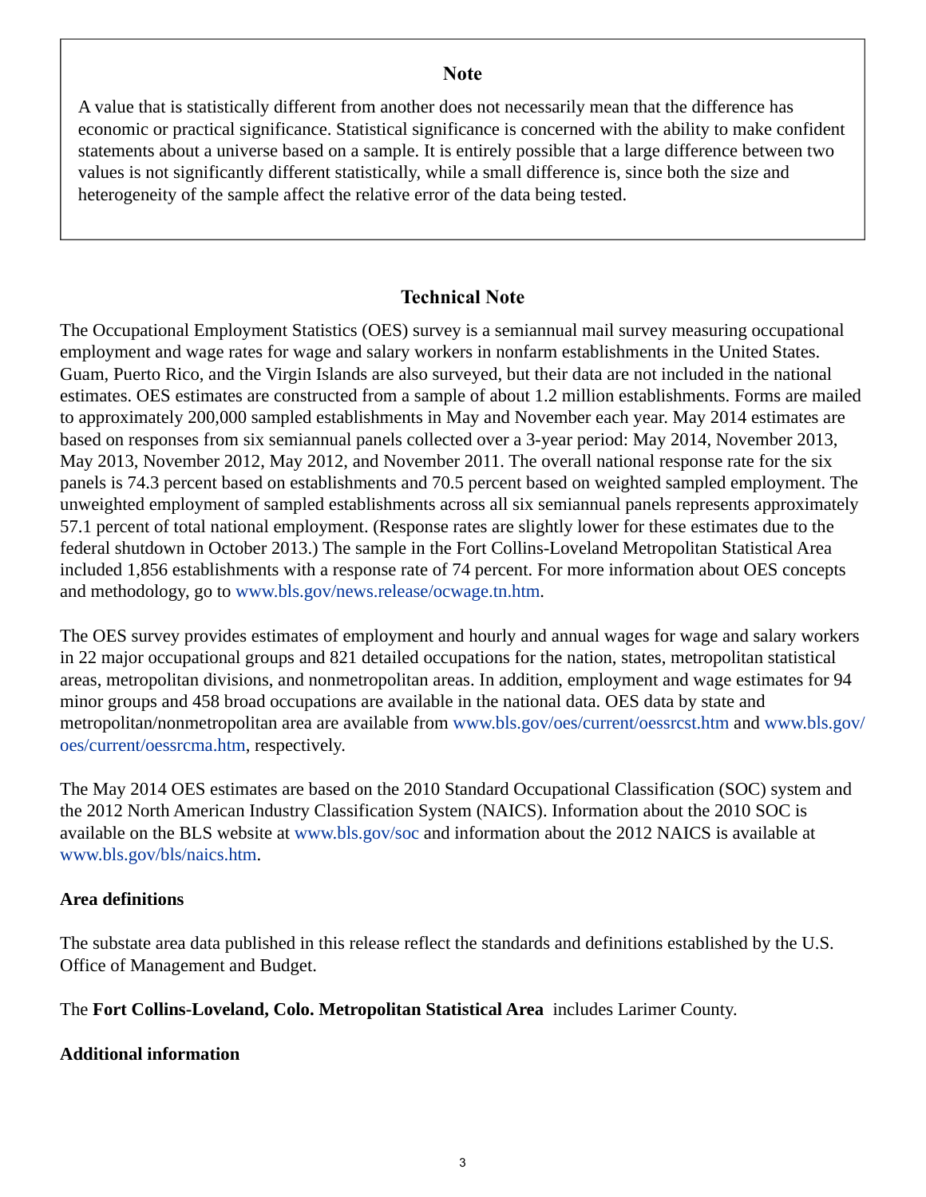## **Note**

<span id="page-2-0"></span>A value that is statistically different from another does not necessarily mean that the difference has economic or practical significance. Statistical significance is concerned with the ability to make confident statements about a universe based on a sample. It is entirely possible that a large difference between two values is not significantly different statistically, while a small difference is, since both the size and heterogeneity of the sample affect the relative error of the data being tested.

## **Technical Note**

The Occupational Employment Statistics (OES) survey is a semiannual mail survey measuring occupational employment and wage rates for wage and salary workers in nonfarm establishments in the United States. Guam, Puerto Rico, and the Virgin Islands are also surveyed, but their data are not included in the national estimates. OES estimates are constructed from a sample of about 1.2 million establishments. Forms are mailed to approximately 200,000 sampled establishments in May and November each year. May 2014 estimates are based on responses from six semiannual panels collected over a 3-year period: May 2014, November 2013, May 2013, November 2012, May 2012, and November 2011. The overall national response rate for the six panels is 74.3 percent based on establishments and 70.5 percent based on weighted sampled employment. The unweighted employment of sampled establishments across all six semiannual panels represents approximately 57.1 percent of total national employment. (Response rates are slightly lower for these estimates due to the federal shutdown in October 2013.) The sample in the Fort Collins-Loveland Metropolitan Statistical Area included 1,856 establishments with a response rate of 74 percent. For more information about OES concepts and methodology, go to [www.bls.gov/news.release/ocwage.tn.htm](https://www.bls.gov/news.release/ocwage.tn.htm).

The OES survey provides estimates of employment and hourly and annual wages for wage and salary workers in 22 major occupational groups and 821 detailed occupations for the nation, states, metropolitan statistical areas, metropolitan divisions, and nonmetropolitan areas. In addition, employment and wage estimates for 94 minor groups and 458 broad occupations are available in the national data. OES data by state and metropolitan/nonmetropolitan area are available from [www.bls.gov/oes/current/oessrcst.htm](https://www.bls.gov/oes/current/oessrcst.htm) and [www.bls.gov/](https://www.bls.gov/oes/current/oessrcma.htm) [oes/current/oessrcma.htm,](https://www.bls.gov/oes/current/oessrcma.htm) respectively.

The May 2014 OES estimates are based on the 2010 Standard Occupational Classification (SOC) system and the 2012 North American Industry Classification System (NAICS). Information about the 2010 SOC is available on the BLS website at [www.bls.gov/soc](https://www.bls.gov/soc) and information about the 2012 NAICS is available at [www.bls.gov/bls/naics.htm.](https://www.bls.gov/bls/naics.htm)

## **Area definitions**

The substate area data published in this release reflect the standards and definitions established by the U.S. Office of Management and Budget.

The **Fort Collins-Loveland, Colo. Metropolitan Statistical Area** includes Larimer County.

## **Additional information**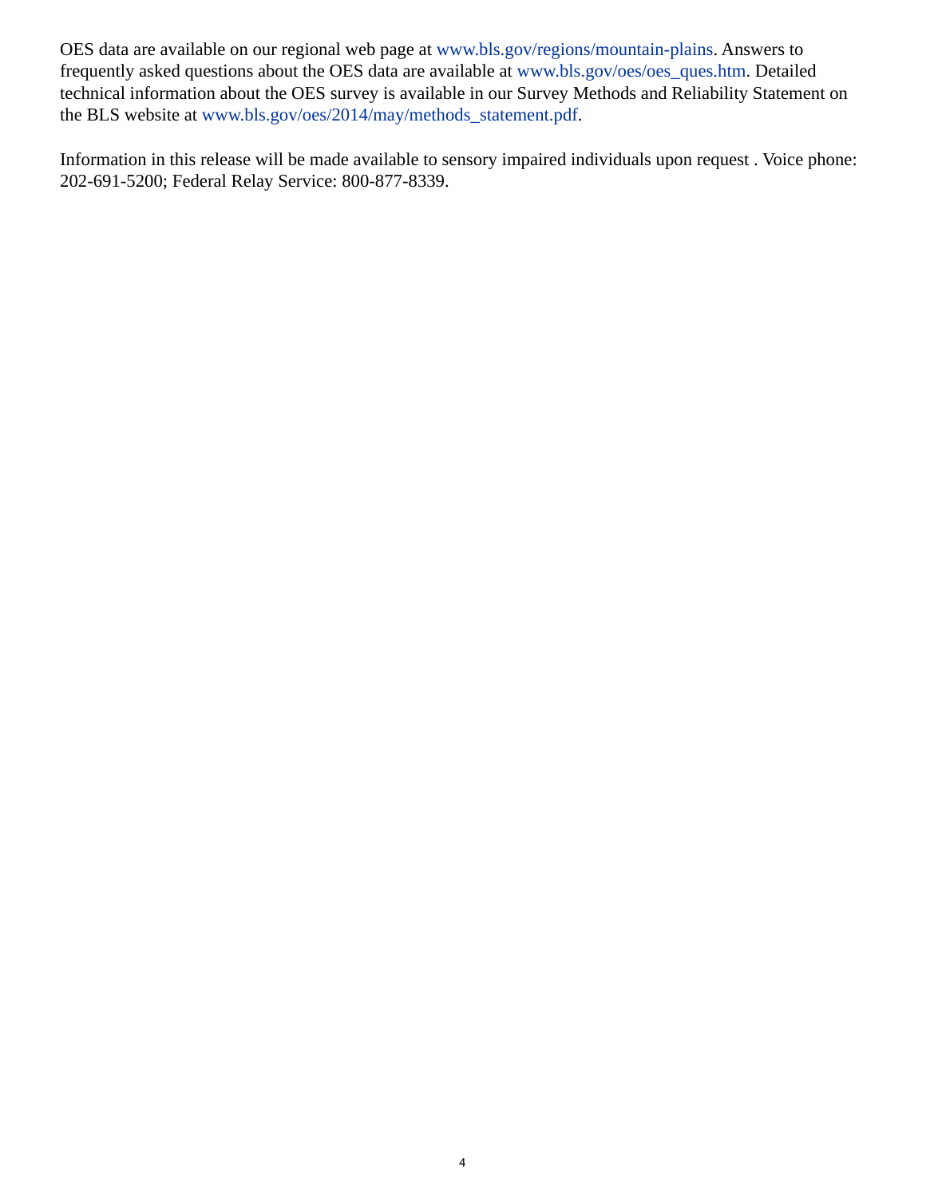OES data are available on our regional web page at [www.bls.gov/regions/mountain-plains.](https://www.bls.gov/regions/mountain-plains) Answers to frequently asked questions about the OES data are available at [www.bls.gov/oes/oes\\_ques.htm](https://www.bls.gov/oes/oes_ques.htm). Detailed technical information about the OES survey is available in our Survey Methods and Reliability Statement on the BLS website at [www.bls.gov/oes/2014/may/methods\\_statement.pdf](https://www.bls.gov/oes/2014/may/methods_statement.pdf).

Information in this release will be made available to sensory impaired individuals upon request . Voice phone: 202-691-5200; Federal Relay Service: 800-877-8339.